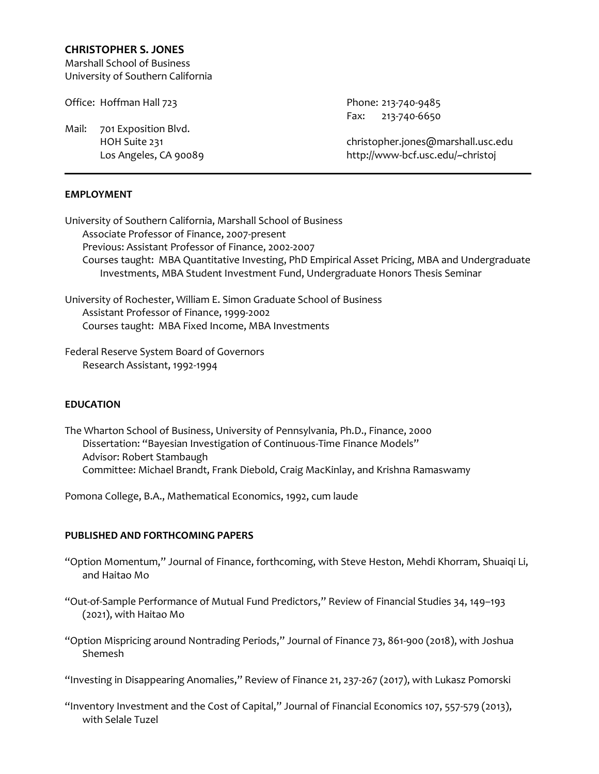# **CHRISTOPHER S. JONES**

Marshall School of Business University of Southern California

Office: Hoffman Hall 723 Phone: 213-740-9485

Mail: 701 Exposition Blvd.

#### **EMPLOYMENT**

University of Southern California, Marshall School of Business Associate Professor of Finance, 2007-present Previous: Assistant Professor of Finance, 2002-2007 Courses taught: MBA Quantitative Investing, PhD Empirical Asset Pricing, MBA and Undergraduate

Investments, MBA Student Investment Fund, Undergraduate Honors Thesis Seminar

University of Rochester, William E. Simon Graduate School of Business Assistant Professor of Finance, 1999-2002 Courses taught: MBA Fixed Income, MBA Investments

Federal Reserve System Board of Governors Research Assistant, 1992-1994

# **EDUCATION**

The Wharton School of Business, University of Pennsylvania, Ph.D., Finance, 2000 Dissertation: "Bayesian Investigation of Continuous-Time Finance Models" Advisor: Robert Stambaugh Committee: Michael Brandt, Frank Diebold, Craig MacKinlay, and Krishna Ramaswamy

Pomona College, B.A., Mathematical Economics, 1992, cum laude

# **PUBLISHED AND FORTHCOMING PAPERS**

- "Option Momentum," Journal of Finance, forthcoming, with Steve Heston, Mehdi Khorram, Shuaiqi Li, and Haitao Mo
- "Out-of-Sample Performance of Mutual Fund Predictors," Review of Financial Studies 34, 149–193 (2021), with Haitao Mo
- "Option Mispricing around Nontrading Periods," Journal of Finance 73, 861-900 (2018), with Joshua Shemesh

"Investing in Disappearing Anomalies," Review of Finance 21, 237-267 (2017), with Lukasz Pomorski

"Inventory Investment and the Cost of Capital," Journal of Financial Economics 107, 557-579 (2013), with Selale Tuzel

Fax: 213-740-6650

 HOH Suite 231 christopher.jones@marshall.usc.edu Los Angeles, CA 90089 http://www-bcf.usc.edu/~christoj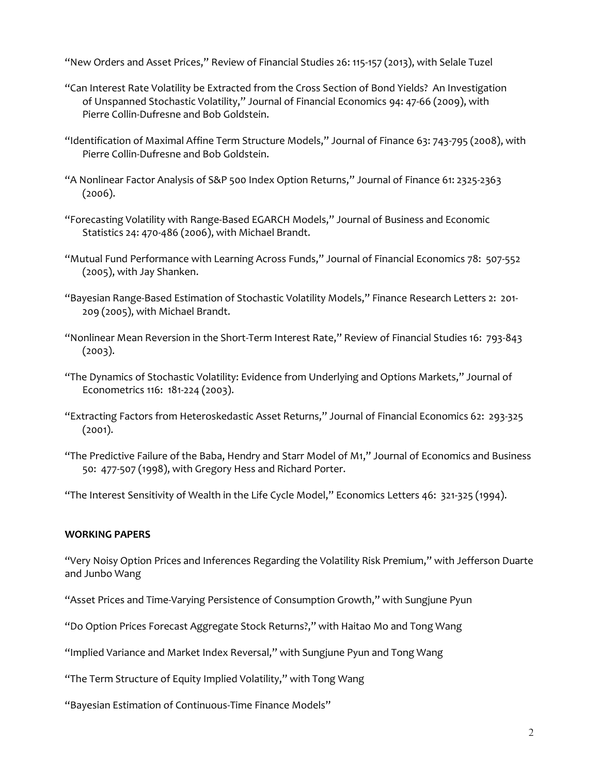"New Orders and Asset Prices," Review of Financial Studies 26: 115-157 (2013), with Selale Tuzel

- "Can Interest Rate Volatility be Extracted from the Cross Section of Bond Yields? An Investigation of Unspanned Stochastic Volatility," Journal of Financial Economics 94: 47-66 (2009), with Pierre Collin-Dufresne and Bob Goldstein.
- "Identification of Maximal Affine Term Structure Models," Journal of Finance 63: 743-795 (2008), with Pierre Collin-Dufresne and Bob Goldstein.
- "A Nonlinear Factor Analysis of S&P 500 Index Option Returns," Journal of Finance 61: 2325-2363 (2006).
- "Forecasting Volatility with Range-Based EGARCH Models," Journal of Business and Economic Statistics 24: 470-486 (2006), with Michael Brandt.
- "Mutual Fund Performance with Learning Across Funds," Journal of Financial Economics 78: 507-552 (2005), with Jay Shanken.
- "Bayesian Range-Based Estimation of Stochastic Volatility Models," Finance Research Letters 2: 201- 209 (2005), with Michael Brandt.
- "Nonlinear Mean Reversion in the Short-Term Interest Rate," Review of Financial Studies 16: 793-843  $(2003).$
- "The Dynamics of Stochastic Volatility: Evidence from Underlying and Options Markets," Journal of Econometrics 116: 181-224 (2003).
- "Extracting Factors from Heteroskedastic Asset Returns," Journal of Financial Economics 62: 293-325 (2001).
- "The Predictive Failure of the Baba, Hendry and Starr Model of M1," Journal of Economics and Business 50: 477-507 (1998), with Gregory Hess and Richard Porter.

"The Interest Sensitivity of Wealth in the Life Cycle Model," Economics Letters 46: 321-325 (1994).

# **WORKING PAPERS**

"Very Noisy Option Prices and Inferences Regarding the Volatility Risk Premium," with Jefferson Duarte and Junbo Wang

- "Asset Prices and Time-Varying Persistence of Consumption Growth," with Sungjune Pyun
- "Do Option Prices Forecast Aggregate Stock Returns?," with Haitao Mo and Tong Wang
- "Implied Variance and Market Index Reversal," with Sungjune Pyun and Tong Wang

"The Term Structure of Equity Implied Volatility," with Tong Wang

"Bayesian Estimation of Continuous-Time Finance Models"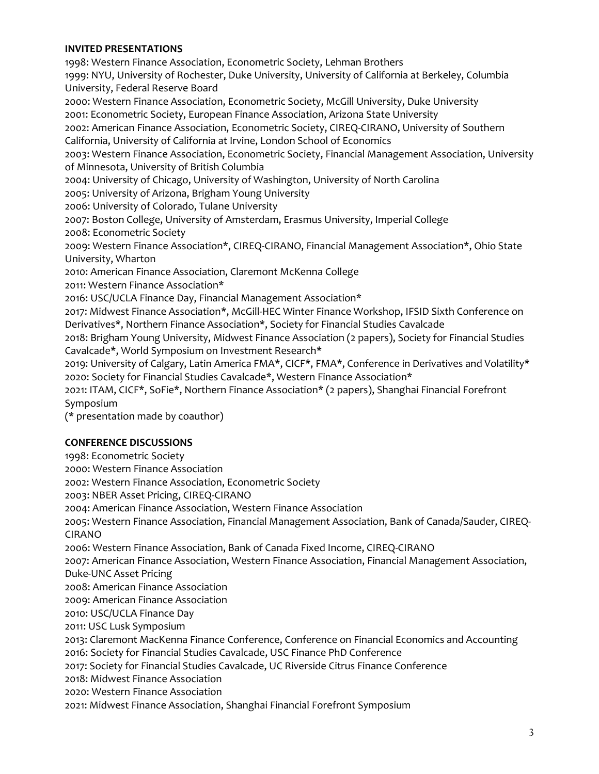### **INVITED PRESENTATIONS**

1998: Western Finance Association, Econometric Society, Lehman Brothers 1999: NYU, University of Rochester, Duke University, University of California at Berkeley, Columbia University, Federal Reserve Board 2000: Western Finance Association, Econometric Society, McGill University, Duke University 2001: Econometric Society, European Finance Association, Arizona State University 2002: American Finance Association, Econometric Society, CIREQ-CIRANO, University of Southern California, University of California at Irvine, London School of Economics 2003: Western Finance Association, Econometric Society, Financial Management Association, University of Minnesota, University of British Columbia 2004: University of Chicago, University of Washington, University of North Carolina 2005: University of Arizona, Brigham Young University 2006: University of Colorado, Tulane University 2007: Boston College, University of Amsterdam, Erasmus University, Imperial College 2008: Econometric Society 2009: Western Finance Association\*, CIREQ-CIRANO, Financial Management Association\*, Ohio State University, Wharton 2010: American Finance Association, Claremont McKenna College 2011: Western Finance Association\* 2016: USC/UCLA Finance Day, Financial Management Association\* 2017: Midwest Finance Association\*, McGill-HEC Winter Finance Workshop, IFSID Sixth Conference on Derivatives\*, Northern Finance Association\*, Society for Financial Studies Cavalcade 2018: Brigham Young University, Midwest Finance Association (2 papers), Society for Financial Studies Cavalcade\*, World Symposium on Investment Research\* 2019: University of Calgary, Latin America FMA\*, CICF\*, FMA\*, Conference in Derivatives and Volatility\* 2020: Society for Financial Studies Cavalcade\*, Western Finance Association\* 2021: ITAM, CICF\*, SoFie\*, Northern Finance Association\* (2 papers), Shanghai Financial Forefront Symposium (\* presentation made by coauthor)

# **CONFERENCE DISCUSSIONS**

1998: Econometric Society 2000: Western Finance Association 2002: Western Finance Association, Econometric Society 2003: NBER Asset Pricing, CIREQ-CIRANO 2004: American Finance Association, Western Finance Association 2005: Western Finance Association, Financial Management Association, Bank of Canada/Sauder, CIREQ-CIRANO 2006: Western Finance Association, Bank of Canada Fixed Income, CIREQ-CIRANO 2007: American Finance Association, Western Finance Association, Financial Management Association, Duke-UNC Asset Pricing 2008: American Finance Association 2009: American Finance Association 2010: USC/UCLA Finance Day 2011: USC Lusk Symposium 2013: Claremont MacKenna Finance Conference, Conference on Financial Economics and Accounting 2016: Society for Financial Studies Cavalcade, USC Finance PhD Conference 2017: Society for Financial Studies Cavalcade, UC Riverside Citrus Finance Conference 2018: Midwest Finance Association 2020: Western Finance Association 2021: Midwest Finance Association, Shanghai Financial Forefront Symposium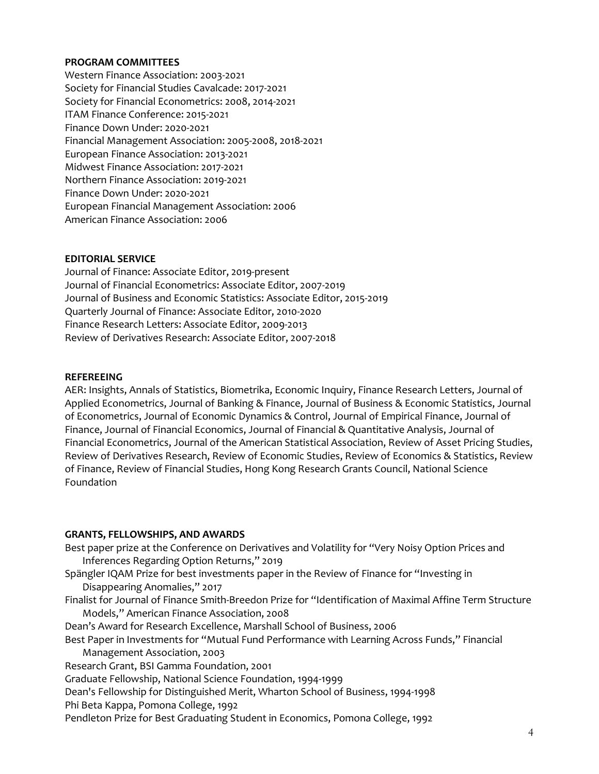### **PROGRAM COMMITTEES**

Western Finance Association: 2003-2021 Society for Financial Studies Cavalcade: 2017-2021 Society for Financial Econometrics: 2008, 2014-2021 ITAM Finance Conference: 2015-2021 Finance Down Under: 2020-2021 Financial Management Association: 2005-2008, 2018-2021 European Finance Association: 2013-2021 Midwest Finance Association: 2017-2021 Northern Finance Association: 2019-2021 Finance Down Under: 2020-2021 European Financial Management Association: 2006 American Finance Association: 2006

#### **EDITORIAL SERVICE**

Journal of Finance: Associate Editor, 2019-present Journal of Financial Econometrics: Associate Editor, 2007-2019 Journal of Business and Economic Statistics: Associate Editor, 2015-2019 Quarterly Journal of Finance: Associate Editor, 2010-2020 Finance Research Letters: Associate Editor, 2009-2013 Review of Derivatives Research: Associate Editor, 2007-2018

#### **REFEREEING**

AER: Insights, Annals of Statistics, Biometrika, Economic Inquiry, Finance Research Letters, Journal of Applied Econometrics, Journal of Banking & Finance, Journal of Business & Economic Statistics, Journal of Econometrics, Journal of Economic Dynamics & Control, Journal of Empirical Finance, Journal of Finance, Journal of Financial Economics, Journal of Financial & Quantitative Analysis, Journal of Financial Econometrics, Journal of the American Statistical Association, Review of Asset Pricing Studies, Review of Derivatives Research, Review of Economic Studies, Review of Economics & Statistics, Review of Finance, Review of Financial Studies, Hong Kong Research Grants Council, National Science Foundation

#### **GRANTS, FELLOWSHIPS, AND AWARDS**

Best paper prize at the Conference on Derivatives and Volatility for "Very Noisy Option Prices and Inferences Regarding Option Returns," 2019 Spängler IQAM Prize for best investments paper in the Review of Finance for "Investing in Disappearing Anomalies," 2017 Finalist for Journal of Finance Smith-Breedon Prize for "Identification of Maximal Affine Term Structure Models," American Finance Association, 2008 Dean's Award for Research Excellence, Marshall School of Business, 2006 Best Paper in Investments for "Mutual Fund Performance with Learning Across Funds," Financial Management Association, 2003 Research Grant, BSI Gamma Foundation, 2001 Graduate Fellowship, National Science Foundation, 1994-1999 Dean's Fellowship for Distinguished Merit, Wharton School of Business, 1994-1998 Phi Beta Kappa, Pomona College, 1992 Pendleton Prize for Best Graduating Student in Economics, Pomona College, 1992